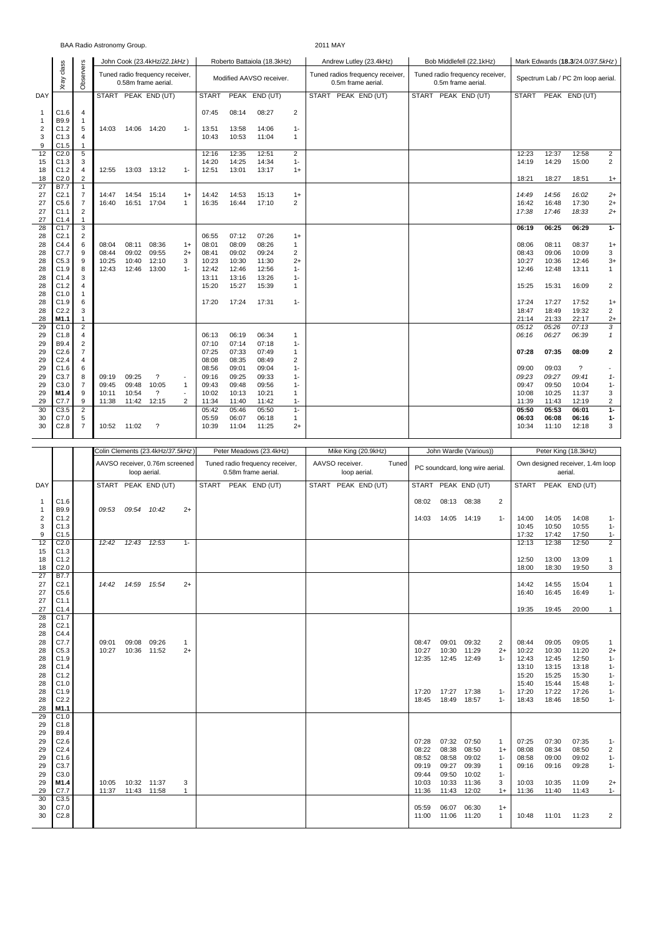## BAA Radio Astronomy Group. 2011 MAY

|                |                          |                |                |       | John Cook (23.4kHz/22.1kHz)                            |                                          |                |                | Roberto Battaiola (18.3kHz) |                | Andrew Lutley (23.4kHz) |                                  |  | Bob Middlefell (22.1kHz)                              | Mark Edwards (18.3/24.0/37.5kHz) |                |                                   |                |  |  |  |
|----------------|--------------------------|----------------|----------------|-------|--------------------------------------------------------|------------------------------------------|----------------|----------------|-----------------------------|----------------|-------------------------|----------------------------------|--|-------------------------------------------------------|----------------------------------|----------------|-----------------------------------|----------------|--|--|--|
|                | Xray class               | Observers      |                |       | Tuned radio frequency receiver,<br>0.58m frame aerial. |                                          |                |                | Modified AAVSO receiver.    |                | 0.5m frame aerial.      | Tuned radios frequency receiver, |  | Tuned radio frequency receiver,<br>0.5m frame aerial. |                                  |                | Spectrum Lab / PC 2m loop aerial. |                |  |  |  |
| DAY            |                          |                |                |       | START PEAK END (UT)                                    |                                          | <b>START</b>   |                | PEAK END (UT)               |                | START PEAK END (UT)     |                                  |  | START PEAK END (UT)                                   |                                  |                | START PEAK END (UT)               |                |  |  |  |
| 1              | C1.6                     | 4              |                |       |                                                        |                                          | 07:45          | 08:14          | 08:27                       | 2              |                         |                                  |  |                                                       |                                  |                |                                   |                |  |  |  |
| 1              | B9.9                     | 1              |                |       |                                                        |                                          |                |                |                             |                |                         |                                  |  |                                                       |                                  |                |                                   |                |  |  |  |
| $\overline{2}$ | C1.2                     | 5              | 14:03          | 14:06 | 14:20                                                  | $1 -$                                    | 13:51          | 13:58          | 14:06                       | $1 -$          |                         |                                  |  |                                                       |                                  |                |                                   |                |  |  |  |
| 3              | C1.3                     | 4              |                |       |                                                        |                                          | 10:43          | 10:53          | 11:04                       | $\mathbf{1}$   |                         |                                  |  |                                                       |                                  |                |                                   |                |  |  |  |
| 9<br>12        | C1.5<br>C <sub>2.0</sub> | 1<br>5         |                |       |                                                        |                                          | 12:16          | 12:35          | 12:51                       | $\overline{2}$ |                         |                                  |  |                                                       | 12:23                            | 12:37          | 12:58                             | 2              |  |  |  |
| 15             | C <sub>1.3</sub>         | 3              |                |       |                                                        |                                          | 14:20          | 14:25          | 14:34                       | $1 -$          |                         |                                  |  |                                                       | 14:19                            | 14:29          | 15:00                             | 2              |  |  |  |
| 18             | C1.2                     | $\overline{4}$ | 12:55          |       | 13:03 13:12                                            | $1 -$                                    | 12:51          | 13:01          | 13:17                       | $1+$           |                         |                                  |  |                                                       |                                  |                |                                   |                |  |  |  |
| 18             | C2.0                     | $\overline{c}$ |                |       |                                                        |                                          |                |                |                             |                |                         |                                  |  |                                                       | 18:21                            | 18:27          | 18:51                             | $1+$           |  |  |  |
| 27             | <b>B7.7</b>              | $\mathbf{1}$   |                |       |                                                        |                                          |                |                |                             |                |                         |                                  |  |                                                       |                                  |                |                                   |                |  |  |  |
| 27             | C <sub>2.1</sub>         | $\overline{7}$ | 14:47          | 14:54 | 15:14                                                  | $1+$                                     | 14:42          | 14:53          | 15:13                       | $1+$           |                         |                                  |  |                                                       | 14:49                            | 14:56          | 16:02                             | $2+$           |  |  |  |
| 27             | C5.6                     | $\overline{7}$ | 16:40          |       | 16:51 17:04                                            | $\mathbf{1}$                             | 16:35          | 16:44          | 17:10                       | 2              |                         |                                  |  |                                                       | 16:42                            | 16:48          | 17:30                             | $2+$           |  |  |  |
| 27             | C1.1<br>C1.4             | 2              |                |       |                                                        |                                          |                |                |                             |                |                         |                                  |  |                                                       | 17:38                            | 17:46          | 18:33                             | $2+$           |  |  |  |
| 27<br>28       | C1.7                     | 1<br>3         |                |       |                                                        |                                          |                |                |                             |                |                         |                                  |  |                                                       | 06:19                            | 06:25          | 06:29                             | $1 -$          |  |  |  |
| 28             | C <sub>2.1</sub>         | $\overline{c}$ |                |       |                                                        |                                          | 06:55          | 07:12          | 07:26                       | $1+$           |                         |                                  |  |                                                       |                                  |                |                                   |                |  |  |  |
| 28             | C4.4                     | 6              | 08:04          | 08:11 | 08:36                                                  | $1+$                                     | 08:01          | 08:09          | 08:26                       | $\mathbf{1}$   |                         |                                  |  |                                                       | 08:06                            | 08:11          | 08:37                             | $1+$           |  |  |  |
| 28             | C7.7                     | 9              | 08:44          | 09:02 | 09:55                                                  | $2+$                                     | 08:41          | 09:02          | 09:24                       | 2              |                         |                                  |  |                                                       | 08:43                            | 09:06          | 10:09                             | 3              |  |  |  |
| 28             | C5.3                     | 9              | 10:25          | 10:40 | 12:10                                                  | 3                                        | 10:23          | 10:30          | 11:30                       | $2+$           |                         |                                  |  |                                                       | 10:27                            | 10:36          | 12:46                             | $3+$           |  |  |  |
| 28             | C1.9                     | 8              | 12:43          | 12:46 | 13:00                                                  | $1 -$                                    | 12:42          | 12:46          | 12:56                       | $1 -$          |                         |                                  |  |                                                       | 12:46                            | 12:48          | 13:11                             | $\mathbf{1}$   |  |  |  |
| 28             | C1.4                     | 3              |                |       |                                                        |                                          | 13:11          | 13:16          | 13:26                       | $1 -$          |                         |                                  |  |                                                       |                                  |                |                                   |                |  |  |  |
| 28             | C1.2<br>C1.0             | 4<br>1         |                |       |                                                        |                                          | 15:20          | 15:27          | 15:39                       | $\mathbf{1}$   |                         |                                  |  |                                                       | 15:25                            | 15:31          | 16:09                             | 2              |  |  |  |
| 28<br>28       | C1.9                     | 6              |                |       |                                                        |                                          | 17:20          | 17:24          | 17:31                       | $1 -$          |                         |                                  |  |                                                       | 17:24                            | 17:27          | 17:52                             | $1+$           |  |  |  |
| 28             | C <sub>2.2</sub>         | 3              |                |       |                                                        |                                          |                |                |                             |                |                         |                                  |  |                                                       | 18:47                            | 18:49          | 19:32                             | $\overline{2}$ |  |  |  |
| 28             | M1.1                     | 1              |                |       |                                                        |                                          |                |                |                             |                |                         |                                  |  |                                                       | 21:14                            | 21:33          | 22:17                             | $2+$           |  |  |  |
| 29             | C1.0                     | $\overline{2}$ |                |       |                                                        |                                          |                |                |                             |                |                         |                                  |  |                                                       | 05:12                            | 05:26          | 07:13                             | 3              |  |  |  |
| 29             | C1.8                     | 4              |                |       |                                                        |                                          | 06:13          | 06:19          | 06:34                       | 1              |                         |                                  |  |                                                       | 06:16                            | 06:27          | 06:39                             | $\mathbf{1}$   |  |  |  |
| 29             | <b>B9.4</b>              | 2              |                |       |                                                        |                                          | 07:10          | 07:14          | 07:18                       | $1 -$          |                         |                                  |  |                                                       |                                  |                |                                   |                |  |  |  |
| 29             | C2.6                     | 7              |                |       |                                                        |                                          | 07:25          | 07:33          | 07:49                       | 1              |                         |                                  |  |                                                       | 07:28                            | 07:35          | 08:09                             | $\mathbf{2}$   |  |  |  |
| 29             | C <sub>2.4</sub>         | 4              |                |       |                                                        |                                          | 08:08          | 08:35          | 08:49                       | 2              |                         |                                  |  |                                                       |                                  |                |                                   |                |  |  |  |
| 29             | C1.6<br>C3.7             | 6<br>8         |                | 09:25 | $\overline{\phantom{a}}$                               |                                          | 08:56          | 09:01          | 09:04                       | $1 -$          |                         |                                  |  |                                                       | 09:00                            | 09:03          | $\overline{\phantom{0}}$          |                |  |  |  |
| 29<br>29       | C3.0                     | $\overline{7}$ | 09:19<br>09:45 | 09:48 | 10:05                                                  | $\overline{\phantom{a}}$<br>$\mathbf{1}$ | 09:16<br>09:43 | 09:25<br>09:48 | 09:33<br>09:56              | $1 -$<br>$1 -$ |                         |                                  |  |                                                       | 09:23<br>09:47                   | 09:27<br>09:50 | 09:41<br>10:04                    | $1-$<br>$1 -$  |  |  |  |
| 29             | M1.4                     | 9              | 10:11          | 10:54 | $\overline{\mathcal{E}}$                               | $\blacksquare$                           | 10:02          | 10:13          | 10:21                       | 1              |                         |                                  |  |                                                       | 10:08                            | 10:25          | 11:37                             | 3              |  |  |  |
| 29             | C7.7                     | 9              | 11:38          |       | 11:42 12:15                                            | 2                                        | 11:34          | 11:40          | 11:42                       | $1 -$          |                         |                                  |  |                                                       | 11:39                            | 11:43          | 12:19                             | 2              |  |  |  |
| 30             | C3.5                     | $\overline{2}$ |                |       |                                                        |                                          | 05:42          | 05:46          | 05:50                       | $1 -$          |                         |                                  |  |                                                       | 05:50                            | 05:53          | 06:01                             | $1 -$          |  |  |  |
| 30             | C7.0                     | 5              |                |       |                                                        |                                          | 05:59          | 06:07          | 06:18                       | $\mathbf{1}$   |                         |                                  |  |                                                       | 06:03                            | 06:08          | 06:16                             | $1-$           |  |  |  |
| 30             | C <sub>2.8</sub>         | $\overline{7}$ | 10:52          | 11:02 | ?                                                      |                                          | 10:39          | 11:04          | 11:25                       | $2+$           |                         |                                  |  |                                                       | 10:34                            | 11:10          | 12:18                             | 3              |  |  |  |
|                |                          |                |                |       |                                                        |                                          |                |                |                             |                |                         |                                  |  |                                                       |                                  |                |                                   |                |  |  |  |

|            |                  |       |       | Colin Clements (23.4kHz/37.5kHz)               |              |  | Peter Meadows (23.4kHz)                                |                                 | Mike King (20.9kHz) |       |       |             | John Wardle (Various))          |                | Peter King (18.3kHz)                        |                |                |                         |  |
|------------|------------------|-------|-------|------------------------------------------------|--------------|--|--------------------------------------------------------|---------------------------------|---------------------|-------|-------|-------------|---------------------------------|----------------|---------------------------------------------|----------------|----------------|-------------------------|--|
|            |                  |       |       | AAVSO receiver, 0.76m screened<br>loop aerial. |              |  | Tuned radio frequency receiver,<br>0.58m frame aerial. | AAVSO receiver.<br>loop aerial. |                     | Tuned |       |             | PC soundcard, long wire aerial. |                | Own designed receiver, 1.4m loop<br>aerial. |                |                |                         |  |
| <b>DAY</b> |                  |       |       | START PEAK END (UT)                            |              |  | START PEAK END (UT)                                    |                                 | START PEAK END (UT) |       |       |             | START PEAK END (UT)             |                | <b>START</b>                                |                | PEAK END (UT)  |                         |  |
| 1          | C1.6             |       |       |                                                |              |  |                                                        |                                 |                     |       | 08:02 | 08:13 08:38 |                                 | $\overline{2}$ |                                             |                |                |                         |  |
| 1          | B9.9             | 09:53 |       | 09:54 10:42                                    | $2+$         |  |                                                        |                                 |                     |       |       |             |                                 |                |                                             |                |                |                         |  |
| 2          | C1.2             |       |       |                                                |              |  |                                                        |                                 |                     |       | 14:03 | 14:05       | 14:19                           | $1 -$          | 14:00                                       | 14:05          | 14:08          | $1 -$                   |  |
| 3          | C1.3             |       |       |                                                |              |  |                                                        |                                 |                     |       |       |             |                                 |                | 10:45                                       | 10:50          | 10:55          | $1 -$                   |  |
| 9<br>12    | C1.5<br>C2.0     | 12:42 | 12:43 | 12:53                                          | $1 -$        |  |                                                        |                                 |                     |       |       |             |                                 |                | 17:32<br>12:13                              | 17:42<br>12:38 | 17:50<br>12:50 | $1 -$<br>$\overline{2}$ |  |
| 15         | C1.3             |       |       |                                                |              |  |                                                        |                                 |                     |       |       |             |                                 |                |                                             |                |                |                         |  |
| 18         | C1.2             |       |       |                                                |              |  |                                                        |                                 |                     |       |       |             |                                 |                | 12:50                                       | 13:00          | 13:09          | 1                       |  |
| 18         | C <sub>2.0</sub> |       |       |                                                |              |  |                                                        |                                 |                     |       |       |             |                                 |                | 18:00                                       | 18:30          | 19:50          | 3                       |  |
| 27         | B7.7             |       |       |                                                |              |  |                                                        |                                 |                     |       |       |             |                                 |                |                                             |                |                |                         |  |
| 27         | C <sub>2.1</sub> | 14:42 | 14:59 | 15:54                                          | $2+$         |  |                                                        |                                 |                     |       |       |             |                                 |                | 14:42                                       | 14:55          | 15:04          | $\mathbf{1}$            |  |
| 27         | C5.6             |       |       |                                                |              |  |                                                        |                                 |                     |       |       |             |                                 |                | 16:40                                       | 16:45          | 16:49          | $1 -$                   |  |
| 27         | C1.1             |       |       |                                                |              |  |                                                        |                                 |                     |       |       |             |                                 |                |                                             |                |                |                         |  |
| 27         | C1.4<br>C1.7     |       |       |                                                |              |  |                                                        |                                 |                     |       |       |             |                                 |                | 19:35                                       | 19:45          | 20:00          | $\mathbf{1}$            |  |
| 28<br>28   | C <sub>2.1</sub> |       |       |                                                |              |  |                                                        |                                 |                     |       |       |             |                                 |                |                                             |                |                |                         |  |
| 28         | C4.4             |       |       |                                                |              |  |                                                        |                                 |                     |       |       |             |                                 |                |                                             |                |                |                         |  |
| 28         | C7.7             | 09:01 | 09:08 | 09:26                                          | $\mathbf{1}$ |  |                                                        |                                 |                     |       | 08:47 | 09:01       | 09:32                           | 2              | 08:44                                       | 09:05          | 09:05          | 1                       |  |
| 28         | C5.3             | 10:27 |       | 10:36 11:52                                    | $2+$         |  |                                                        |                                 |                     |       | 10:27 | 10:30       | 11:29                           | $2+$           | 10:22                                       | 10:30          | 11:20          | $2+$                    |  |
| 28         | C1.9             |       |       |                                                |              |  |                                                        |                                 |                     |       | 12:35 | 12:45       | 12:49                           | $1 -$          | 12:43                                       | 12:45          | 12:50          | $1 -$                   |  |
| 28         | C1.4             |       |       |                                                |              |  |                                                        |                                 |                     |       |       |             |                                 |                | 13:10                                       | 13:15          | 13:18          | $1 -$                   |  |
| 28         | C1.2             |       |       |                                                |              |  |                                                        |                                 |                     |       |       |             |                                 |                | 15:20                                       | 15:25          | 15:30          | $1 -$                   |  |
| 28         | C1.0             |       |       |                                                |              |  |                                                        |                                 |                     |       |       |             |                                 |                | 15:40                                       | 15:44          | 15:48          | $1 -$                   |  |
| 28         | C1.9             |       |       |                                                |              |  |                                                        |                                 |                     |       | 17:20 | 17:27       | 17:38                           | $1 -$          | 17:20                                       | 17:22          | 17:26          | $1 -$                   |  |
| 28         | C2.2<br>M1.1     |       |       |                                                |              |  |                                                        |                                 |                     |       | 18:45 | 18:49       | 18:57                           | $1 -$          | 18:43                                       | 18:46          | 18:50          | $1 -$                   |  |
| 28<br>29   | C1.0             |       |       |                                                |              |  |                                                        |                                 |                     |       |       |             |                                 |                |                                             |                |                |                         |  |
| 29         | C1.8             |       |       |                                                |              |  |                                                        |                                 |                     |       |       |             |                                 |                |                                             |                |                |                         |  |
| 29         | B9.4             |       |       |                                                |              |  |                                                        |                                 |                     |       |       |             |                                 |                |                                             |                |                |                         |  |
| 29         | C2.6             |       |       |                                                |              |  |                                                        |                                 |                     |       | 07:28 | 07:32       | 07:50                           | $\mathbf{1}$   | 07:25                                       | 07:30          | 07:35          | $1 -$                   |  |
| 29         | C <sub>2.4</sub> |       |       |                                                |              |  |                                                        |                                 |                     |       | 08:22 | 08:38       | 08:50                           | $1+$           | 08:08                                       | 08:34          | 08:50          | $\overline{2}$          |  |
| 29         | C1.6             |       |       |                                                |              |  |                                                        |                                 |                     |       | 08:52 | 08:58       | 09:02                           | $1 -$          | 08:58                                       | 09:00          | 09:02          | $1 -$                   |  |
| 29         | C3.7             |       |       |                                                |              |  |                                                        |                                 |                     |       | 09:19 | 09:27       | 09:39                           | $\mathbf{1}$   | 09:16                                       | 09:16          | 09:28          | $1 -$                   |  |
| 29         | C3.0             |       |       |                                                |              |  |                                                        |                                 |                     |       | 09:44 | 09:50       | 10:02                           | $1 -$          |                                             |                |                |                         |  |
| 29         | M1.4             | 10:05 |       | 10:32 11:37                                    | 3            |  |                                                        |                                 |                     |       | 10:03 | 10:33       | 11:36                           | 3              | 10:03                                       | 10:35          | 11:09          | $2+$                    |  |
| 29<br>30   | C7.7<br>C3.5     | 11:37 |       | 11:43 11:58                                    | $\mathbf{1}$ |  |                                                        |                                 |                     |       | 11:36 | 11:43       | 12:02                           | $1+$           | 11:36                                       | 11:40          | 11:43          | $1 -$                   |  |
| 30         | C7.0             |       |       |                                                |              |  |                                                        |                                 |                     |       | 05:59 | 06:07       | 06:30                           | $1+$           |                                             |                |                |                         |  |
| 30         | C2.8             |       |       |                                                |              |  |                                                        |                                 |                     |       | 11:00 | 11:06       | 11:20                           | $\mathbf{1}$   | 10:48                                       | 11:01          | 11:23          | $\overline{2}$          |  |
|            |                  |       |       |                                                |              |  |                                                        |                                 |                     |       |       |             |                                 |                |                                             |                |                |                         |  |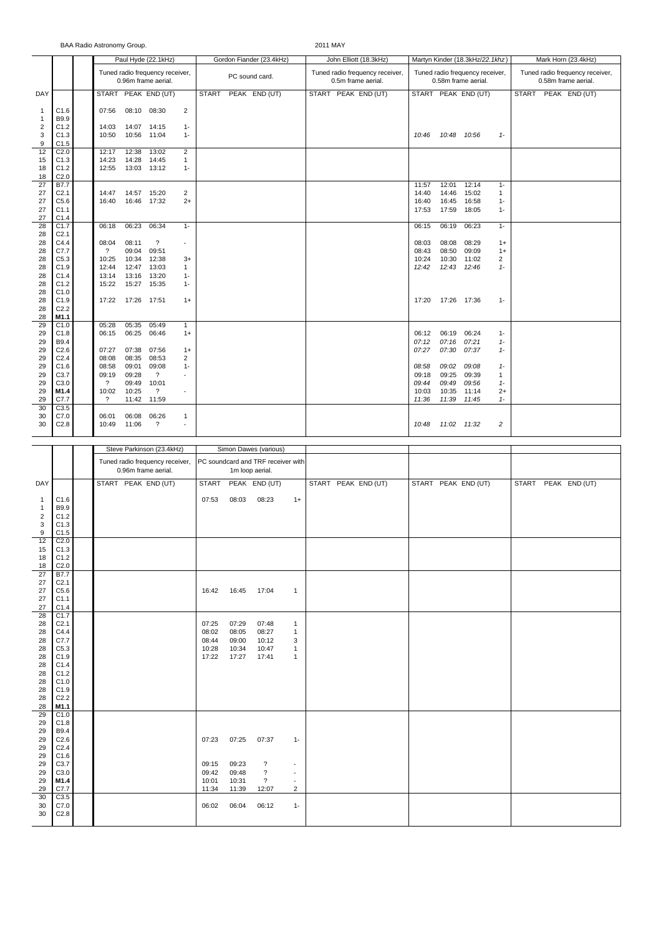BAA Radio Astronomy Group. 2011 MAY

|                                                   |                                                  |                                                        |                         | Paul Hyde (22.1kHz)                                    |                                 |                                                       |                | Gordon Fiander (23.4kHz) |      |                    | John Elliott (18.3kHz)          |                                  |                                  | Martyn Kinder (18.3kHz/22.1khz)                        |                                         | Mark Horn (23.4kHz) |  |                                                        |  |  |
|---------------------------------------------------|--------------------------------------------------|--------------------------------------------------------|-------------------------|--------------------------------------------------------|---------------------------------|-------------------------------------------------------|----------------|--------------------------|------|--------------------|---------------------------------|----------------------------------|----------------------------------|--------------------------------------------------------|-----------------------------------------|---------------------|--|--------------------------------------------------------|--|--|
|                                                   |                                                  |                                                        |                         | Tuned radio frequency receiver,<br>0.96m frame aerial. |                                 |                                                       | PC sound card. |                          |      | 0.5m frame aerial. | Tuned radio frequency receiver, |                                  |                                  | Tuned radio frequency receiver,<br>0.58m frame aerial. |                                         |                     |  | Tuned radio frequency receiver,<br>0.58m frame aerial. |  |  |
| DAY                                               |                                                  |                                                        |                         | START PEAK END (UT)                                    |                                 | <b>START</b>                                          |                | PEAK END (UT)            |      |                    | START PEAK END (UT)             |                                  |                                  | START PEAK END (UT)                                    |                                         |                     |  | START PEAK END (UT)                                    |  |  |
| $\mathbf{1}$<br>$\mathbf{1}$                      | C1.6<br>B9.9                                     | 07:56                                                  |                         | 08:10 08:30                                            | $\overline{2}$                  |                                                       |                |                          |      |                    |                                 |                                  |                                  |                                                        |                                         |                     |  |                                                        |  |  |
| $\overline{2}$<br>$\mathsf 3$<br>$\boldsymbol{9}$ | C1.2<br>C1.3<br>C1.5                             | 14:03<br>10:50                                         |                         | 14:07 14:15<br>10:56 11:04                             | $1 -$<br>$1 -$                  |                                                       |                |                          |      |                    |                                 | 10:46                            | 10:48                            | 10:56                                                  | $1 -$                                   |                     |  |                                                        |  |  |
| 12<br>15                                          | C <sub>2.0</sub><br>C1.3                         | 12:17<br>14:23                                         | 12:38<br>14:28          | 13:02<br>14:45                                         | $\overline{2}$<br>$\mathbf{1}$  |                                                       |                |                          |      |                    |                                 |                                  |                                  |                                                        |                                         |                     |  |                                                        |  |  |
| 18<br>18                                          | C1.2<br>C <sub>2.0</sub>                         | 12:55                                                  |                         | 13:03 13:12                                            | $1 -$                           |                                                       |                |                          |      |                    |                                 |                                  |                                  |                                                        |                                         |                     |  |                                                        |  |  |
| 27<br>27<br>27<br>27<br>27                        | B7.7<br>C <sub>2.1</sub><br>C5.6<br>C1.1<br>C1.4 | 14:47<br>16:40                                         |                         | 14:57 15:20<br>16:46 17:32                             | $\overline{2}$<br>$2+$          |                                                       |                |                          |      |                    |                                 | 11:57<br>14:40<br>16:40<br>17:53 | 12:01<br>14:46<br>16:45<br>17:59 | 12:14<br>15:02<br>16:58<br>18:05                       | $1 -$<br>$\mathbf{1}$<br>$1 -$<br>$1 -$ |                     |  |                                                        |  |  |
| 28<br>28                                          | C1.7<br>C <sub>2.1</sub>                         | 06:18                                                  | 06:23                   | 06:34                                                  | $1 -$                           |                                                       |                |                          |      |                    |                                 | 06:15                            | 06:19                            | 06:23                                                  | $1 -$                                   |                     |  |                                                        |  |  |
| 28<br>28<br>28                                    | C4.4<br>C7.7<br>C5.3                             | 08:04<br>$\overline{?}$<br>10:25                       | 08:11<br>09:04<br>10:34 | $\overline{\mathcal{E}}$<br>09:51<br>12:38             | $\sim$<br>$3+$                  |                                                       |                |                          |      |                    |                                 | 08:03<br>08:43<br>10:24          | 08:08<br>08:50<br>10:30          | 08:29<br>09:09<br>11:02                                | $1+$<br>$1+$<br>2                       |                     |  |                                                        |  |  |
| 28                                                | C1.9                                             | 12:44                                                  | 12:47                   | 13:03                                                  | $\mathbf{1}$                    |                                                       |                |                          |      |                    |                                 | 12:42                            | 12:43                            | 12:46                                                  | $1 -$                                   |                     |  |                                                        |  |  |
| 28<br>28<br>28                                    | C1.4<br>C1.2<br>C1.0                             | 13:14<br>15:22                                         | 13:16<br>15:27          | 13:20<br>15:35                                         | $1 -$<br>$1 -$                  |                                                       |                |                          |      |                    |                                 |                                  |                                  |                                                        |                                         |                     |  |                                                        |  |  |
| 28<br>28<br>28                                    | C1.9<br>C <sub>2.2</sub><br>M1.1                 | 17:22                                                  | 17:26 17:51             |                                                        | $1+$                            |                                                       |                |                          |      |                    |                                 | 17:20                            | 17:26 17:36                      |                                                        | $1 -$                                   |                     |  |                                                        |  |  |
| 29<br>29<br>29                                    | C1.0<br>C1.8<br>B9.4                             | 05:28<br>06:15                                         | 05:35<br>06:25          | 05:49<br>06:46                                         | $\mathbf{1}$<br>$1+$            |                                                       |                |                          |      |                    |                                 | 06:12<br>07:12                   | 06:19<br>07:16                   | 06:24<br>07:21                                         | $1 -$<br>$1 -$                          |                     |  |                                                        |  |  |
| 29<br>29<br>29                                    | C2.6<br>C <sub>2.4</sub><br>C1.6                 | 07:27<br>08:08<br>08:58                                | 07:38<br>08:35<br>09:01 | 07:56<br>08:53<br>09:08                                | $1+$<br>$\overline{2}$<br>$1 -$ |                                                       |                |                          |      |                    |                                 | 07:27<br>08:58                   | 07:30<br>09:02                   | 07:37<br>09:08                                         | $1 -$<br>$1 -$                          |                     |  |                                                        |  |  |
| 29<br>29                                          | C3.7<br>C3.0                                     | 09:19<br>$\overline{?}$                                | 09:28                   | $\overline{?}$<br>10:01                                | $\sim$                          |                                                       |                |                          |      |                    |                                 | 09:18                            | 09:25<br>09:49                   | 09:39                                                  | $\mathbf{1}$                            |                     |  |                                                        |  |  |
| 29                                                | M1.4                                             | 10:02                                                  | 09:49<br>10:25          | $\overline{\mathcal{E}}$                               | ÷,                              |                                                       |                |                          |      |                    |                                 | 09:44<br>10:03                   | 10:35                            | 09:56<br>11:14                                         | $1 -$<br>$2+$                           |                     |  |                                                        |  |  |
| 29<br>30                                          | C7.7<br>C3.5                                     | $\overline{\cdot}$                                     | 11:42                   | 11:59                                                  |                                 |                                                       |                |                          |      |                    |                                 | 11:36                            | 11:39                            | 11:45                                                  | $1 -$                                   |                     |  |                                                        |  |  |
| 30<br>30                                          | C7.0<br>C2.8                                     | 06:01<br>10:49                                         | 06:08<br>11:06          | 06:26<br>$\overline{\cdot}$                            | $\mathbf{1}$<br>$\sim$          |                                                       |                |                          |      |                    |                                 | 10:48                            | 11:02 11:32                      |                                                        | $\overline{c}$                          |                     |  |                                                        |  |  |
|                                                   |                                                  |                                                        |                         | Steve Parkinson (23.4kHz)                              |                                 |                                                       |                | Simon Dawes (various)    |      |                    |                                 |                                  |                                  |                                                        |                                         |                     |  |                                                        |  |  |
|                                                   |                                                  |                                                        |                         |                                                        |                                 |                                                       |                |                          |      |                    |                                 |                                  |                                  |                                                        |                                         |                     |  |                                                        |  |  |
|                                                   |                                                  | Tuned radio frequency receiver,<br>0.96m frame aerial. |                         |                                                        |                                 | PC soundcard and TRF receiver with<br>1m loop aerial. |                |                          |      |                    |                                 |                                  |                                  |                                                        |                                         |                     |  |                                                        |  |  |
| DAY<br>$\mathbf{1}$                               | C1.6                                             |                                                        |                         | START PEAK END (UT)                                    |                                 | <b>START</b><br>07:53                                 | 08:03          | PEAK END (UT)<br>08:23   | $1+$ |                    | START PEAK END (UT)             |                                  |                                  | START PEAK END (UT)                                    |                                         | <b>START</b>        |  | PEAK END (UT)                                          |  |  |
| $\mathbf{1}$<br>$\overline{2}$                    | B9.9<br>C1.2                                     |                                                        |                         |                                                        |                                 |                                                       |                |                          |      |                    |                                 |                                  |                                  |                                                        |                                         |                     |  |                                                        |  |  |
| 3<br>9                                            | C1.3<br>C1.5                                     |                                                        |                         |                                                        |                                 |                                                       |                |                          |      |                    |                                 |                                  |                                  |                                                        |                                         |                     |  |                                                        |  |  |

| $\overline{2}$                          | C1.2             |       |                |                          |                          |  |  |
|-----------------------------------------|------------------|-------|----------------|--------------------------|--------------------------|--|--|
| 3                                       | C1.3             |       |                |                          |                          |  |  |
| 9                                       | C1.5             |       |                |                          |                          |  |  |
| 12                                      | C <sub>2.0</sub> |       |                |                          |                          |  |  |
| $\begin{array}{c} 15 \\ 18 \end{array}$ | C1.3             |       |                |                          |                          |  |  |
|                                         | C1.2             |       |                |                          |                          |  |  |
| 18                                      | C2.0             |       |                |                          |                          |  |  |
| 27                                      | <b>B7.7</b>      |       |                |                          |                          |  |  |
| 27                                      | C <sub>2.1</sub> |       |                |                          |                          |  |  |
| 27                                      | C5.6             | 16:42 | 16:45          | 17:04                    | $\overline{1}$           |  |  |
| 27                                      | C1.1             |       |                |                          |                          |  |  |
| 27                                      | C1.4             |       |                |                          |                          |  |  |
| 28                                      | C1.7             |       |                |                          |                          |  |  |
| 28                                      | C <sub>2.1</sub> | 07:25 | 07:29          | 07:48                    | $\mathbf{1}$             |  |  |
| 28                                      | C4.4             | 08:02 | 08:05          | 08:27                    | $\mathbf{1}$             |  |  |
| 28                                      | C7.7             | 08:44 | 09:00          | 10:12                    | 3                        |  |  |
| 28                                      | C5.3             | 10:28 | 10:34          | 10:47                    | $\overline{1}$           |  |  |
| 28                                      | C1.9             | 17:22 | 17:27          | 17:41                    | $\overline{1}$           |  |  |
| 28                                      | C1.4             |       |                |                          |                          |  |  |
| 28                                      | C1.2             |       |                |                          |                          |  |  |
| 28                                      | C1.0             |       |                |                          |                          |  |  |
| 28                                      | C1.9             |       |                |                          |                          |  |  |
| 28                                      | C <sub>2.2</sub> |       |                |                          |                          |  |  |
| 28                                      | M1.1             |       |                |                          |                          |  |  |
| 29                                      | C1.0             |       |                |                          |                          |  |  |
| 29                                      | C1.8             |       |                |                          |                          |  |  |
| 29                                      | <b>B9.4</b>      |       |                |                          |                          |  |  |
| 29                                      | C2.6             | 07:23 | 07:25          | 07:37                    | $1 -$                    |  |  |
| 29                                      | C <sub>2.4</sub> |       |                |                          |                          |  |  |
| 29                                      | C1.6             |       |                |                          |                          |  |  |
| 29                                      | C3.7             | 09:15 | 09:23<br>09:48 | $\overline{\phantom{a}}$ | $\overline{\phantom{a}}$ |  |  |
| 29                                      | C3.0             | 09:42 |                | $\boldsymbol{?}$         | $\overline{\phantom{a}}$ |  |  |
| 29                                      | M1.4             | 10:01 | 10:31          | $\overline{\mathcal{E}}$ | $\overline{\phantom{a}}$ |  |  |
| $\frac{29}{30}$                         | C7.7<br>C3.5     | 11:34 | 11:39          | 12:07                    | 2                        |  |  |
| 30                                      | C7.0             | 06:02 | 06:04          |                          | $1 -$                    |  |  |
| 30                                      |                  |       |                | 06:12                    |                          |  |  |
|                                         | C2.8             |       |                |                          |                          |  |  |
|                                         |                  |       |                |                          |                          |  |  |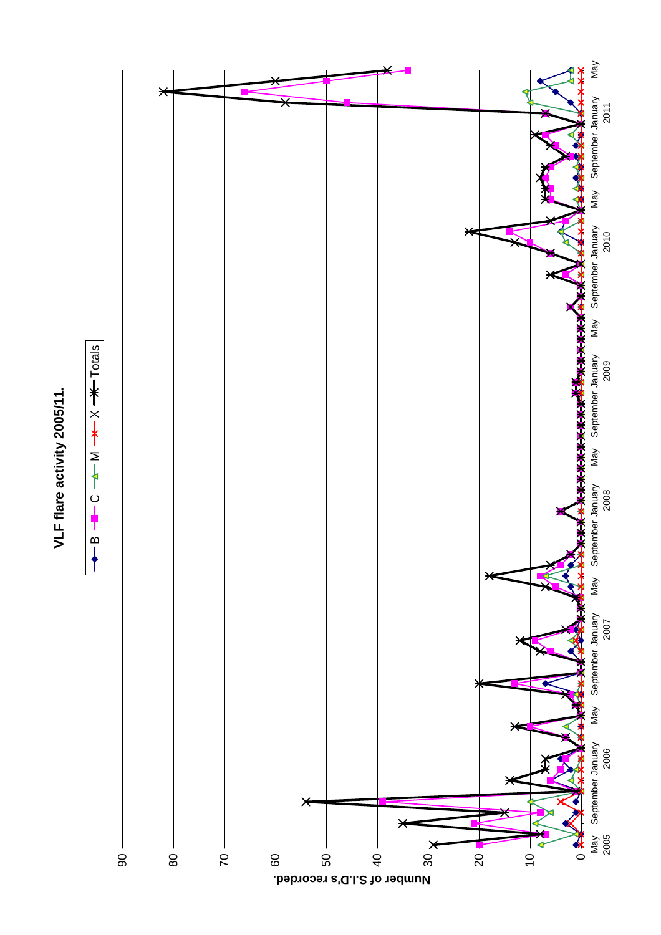## VLF flare activity 2005/11. **VLF flare activity 2005/11.**



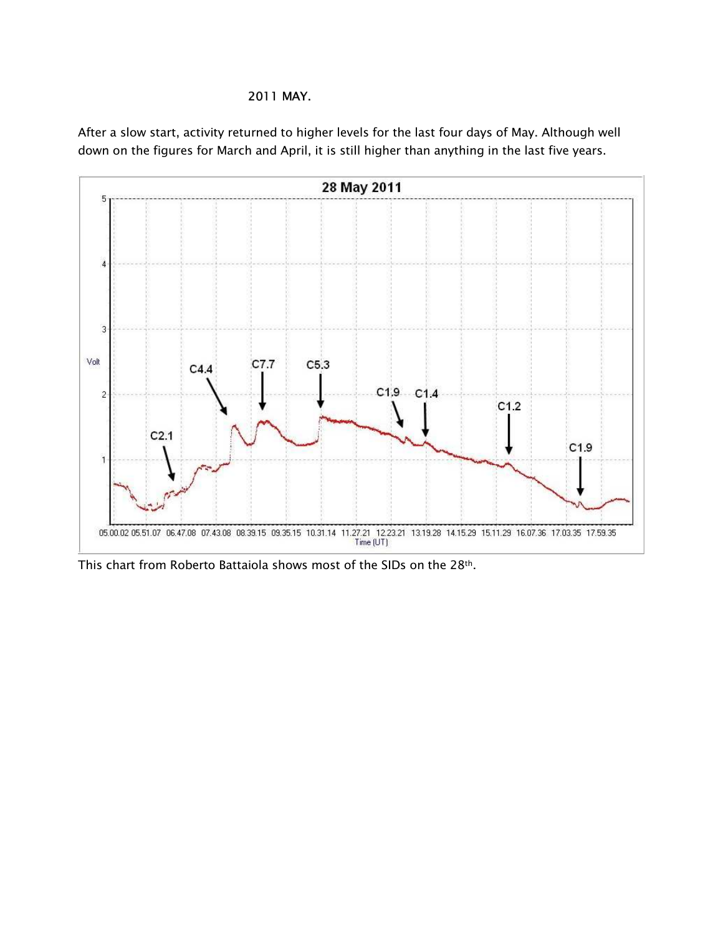## 2011 MAY.

After a slow start, activity returned to higher levels for the last four days of May. Although well down on the figures for March and April, it is still higher than anything in the last five years.



This chart from Roberto Battaiola shows most of the SIDs on the 28th.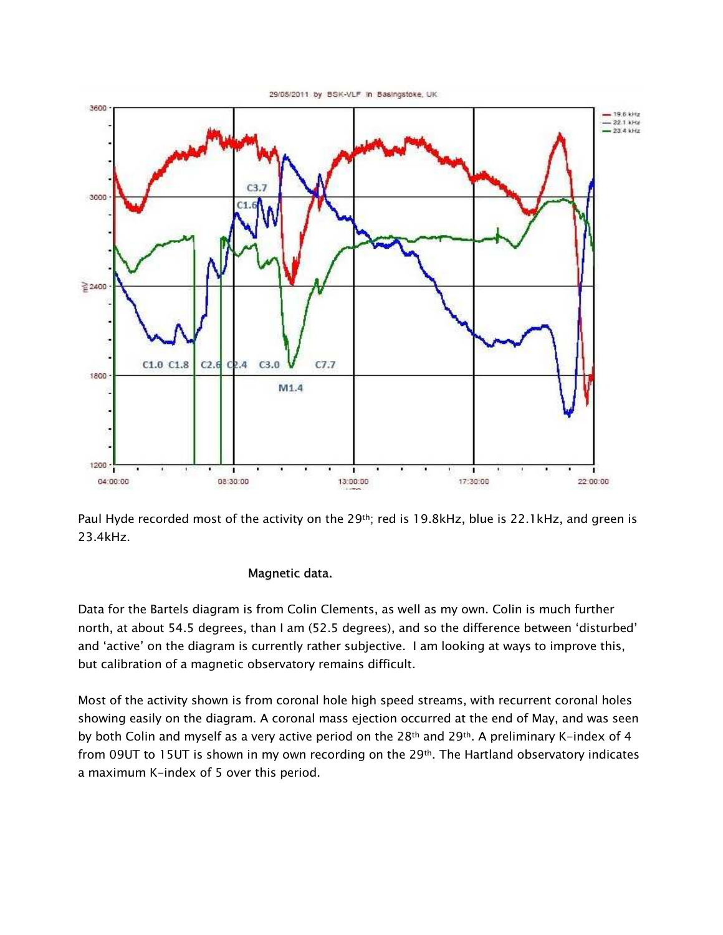

Paul Hyde recorded most of the activity on the 29<sup>th</sup>; red is 19.8kHz, blue is 22.1kHz, and green is 23.4kHz.

## Magnetic data.

Data for the Bartels diagram is from Colin Clements, as well as my own. Colin is much further north, at about 54.5 degrees, than I am (52.5 degrees), and so the difference between 'disturbed' and 'active' on the diagram is currently rather subjective. I am looking at ways to improve this, but calibration of a magnetic observatory remains difficult.

Most of the activity shown is from coronal hole high speed streams, with recurrent coronal holes showing easily on the diagram. A coronal mass ejection occurred at the end of May, and was seen by both Colin and myself as a very active period on the 28<sup>th</sup> and 29<sup>th</sup>. A preliminary K-index of 4 from 09UT to 15UT is shown in my own recording on the 29th. The Hartland observatory indicates a maximum K-index of 5 over this period.